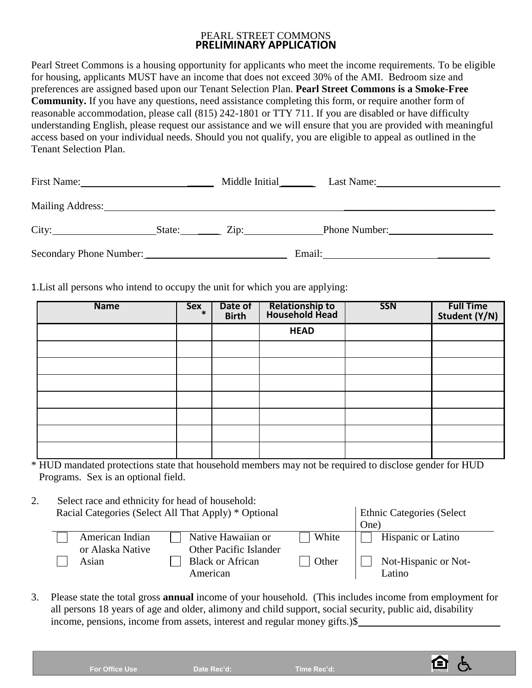## PEARL STREET COMMONS **PRELIMINARY APPLICATION**

Pearl Street Commons is a housing opportunity for applicants who meet the income requirements. To be eligible for housing, applicants MUST have an income that does not exceed 30% of the AMI. Bedroom size and preferences are assigned based upon our Tenant Selection Plan. **Pearl Street Commons is a Smoke-Free Community.** If you have any questions, need assistance completing this form, or require another form of reasonable accommodation, please call (815) 242-1801 or TTY 711. If you are disabled or have difficulty understanding English, please request our assistance and we will ensure that you are provided with meaningful access based on your individual needs. Should you not qualify, you are eligible to appeal as outlined in the Tenant Selection Plan.

| First Name:             |        | Middle Initial    | Last Name:    |
|-------------------------|--------|-------------------|---------------|
| <b>Mailing Address:</b> |        |                   |               |
| City:                   | State: | $\mathsf{Zip:}\_$ | Phone Number: |
| Secondary Phone Number: |        |                   | Email:        |

1.List all persons who intend to occupy the unit for which you are applying:

| <b>Name</b> | $Sex_{*}$ | Date of<br><b>Birth</b> | Relationship to<br>Household Head | <b>SSN</b> | <b>Full Time</b><br>Student (Y/N) |
|-------------|-----------|-------------------------|-----------------------------------|------------|-----------------------------------|
|             |           |                         | <b>HEAD</b>                       |            |                                   |
|             |           |                         |                                   |            |                                   |
|             |           |                         |                                   |            |                                   |
|             |           |                         |                                   |            |                                   |
|             |           |                         |                                   |            |                                   |
|             |           |                         |                                   |            |                                   |
|             |           |                         |                                   |            |                                   |
|             |           |                         |                                   |            |                                   |

\* HUD mandated protections state that household members may not be required to disclose gender for HUD Programs. Sex is an optional field.

2. Select race and ethnicity for head of household: Racial Categories (Select All That Apply) \* Optional Ethnic Categories (Select

|  |                  |                               |       | One) |                           |  |
|--|------------------|-------------------------------|-------|------|---------------------------|--|
|  | American Indian  | Native Hawaiian or            | White |      | <b>Hispanic or Latino</b> |  |
|  | or Alaska Native | <b>Other Pacific Islander</b> |       |      |                           |  |
|  | Asian            | <b>Black or African</b>       | Other |      | Not-Hispanic or Not-      |  |
|  |                  | American                      |       |      | Latino                    |  |

3. Please state the total gross **annual** income of your household. (This includes income from employment for all persons 18 years of age and older, alimony and child support, social security, public aid, disability income, pensions, income from assets, interest and regular money gifts.)\$